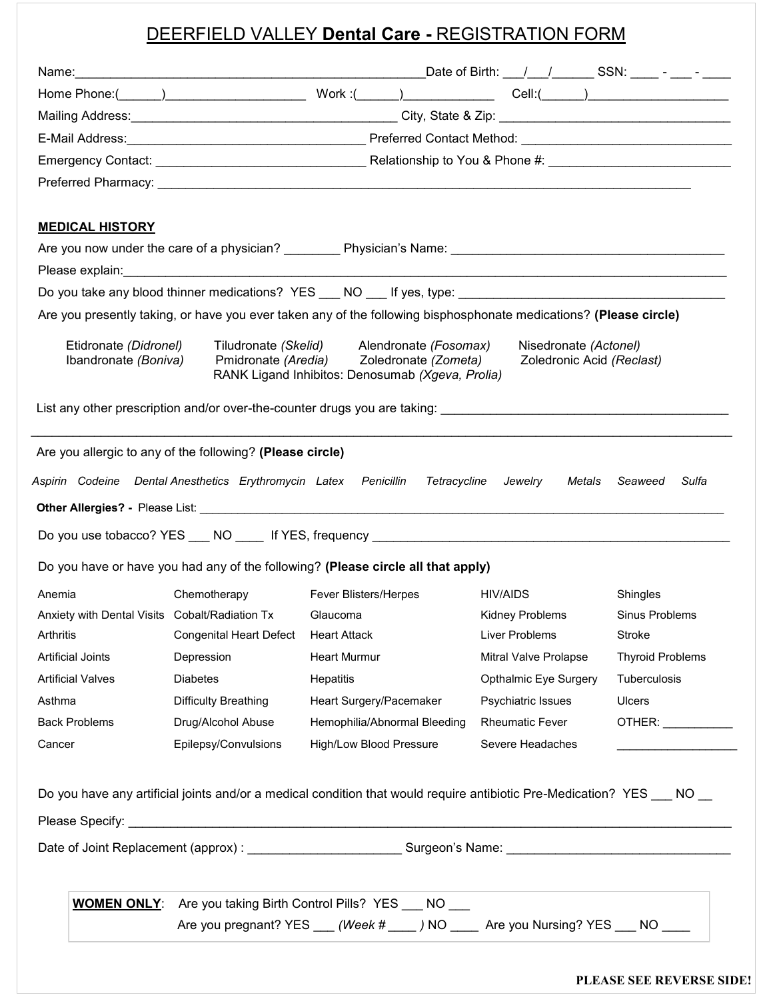# DEERFIELD VALLEY **Dental Care -** REGISTRATION FORM

| <b>MEDICAL HISTORY</b>                                                                                                                        |                                                |                                                                                                                                    |                                                    |                         |
|-----------------------------------------------------------------------------------------------------------------------------------------------|------------------------------------------------|------------------------------------------------------------------------------------------------------------------------------------|----------------------------------------------------|-------------------------|
|                                                                                                                                               |                                                |                                                                                                                                    |                                                    |                         |
|                                                                                                                                               |                                                |                                                                                                                                    |                                                    |                         |
|                                                                                                                                               |                                                |                                                                                                                                    |                                                    |                         |
|                                                                                                                                               |                                                | Are you presently taking, or have you ever taken any of the following bisphosphonate medications? (Please circle)                  |                                                    |                         |
| Etidronate (Didronel)<br>Ibandronate (Boniva)                                                                                                 |                                                | Tiludronate (Skelid) Alendronate (Fosomax)<br>Pmidronate (Aredia) Zoledronate (Zometa)                                             | Nisedronate (Actonel)<br>Zoledronic Acid (Reclast) |                         |
|                                                                                                                                               |                                                | RANK Ligand Inhibitos: Denosumab (Xgeva, Prolia)                                                                                   |                                                    |                         |
|                                                                                                                                               |                                                |                                                                                                                                    |                                                    |                         |
|                                                                                                                                               |                                                |                                                                                                                                    |                                                    |                         |
|                                                                                                                                               |                                                |                                                                                                                                    |                                                    |                         |
|                                                                                                                                               |                                                | Do you have or have you had any of the following? (Please circle all that apply)                                                   |                                                    |                         |
|                                                                                                                                               | Chemotherapy                                   | Fever Blisters/Herpes                                                                                                              | HIV/AIDS                                           | Shingles                |
|                                                                                                                                               | Anxiety with Dental Visits Cobalt/Radiation Tx | Glaucoma                                                                                                                           | Kidney Problems                                    | Sinus Problems          |
|                                                                                                                                               | <b>Congenital Heart Defect</b>                 | Heart Attack                                                                                                                       | Liver Problems                                     | Stroke                  |
|                                                                                                                                               | Depression                                     | <b>Heart Murmur</b>                                                                                                                | Mitral Valve Prolapse                              | <b>Thyroid Problems</b> |
|                                                                                                                                               | <b>Diabetes</b>                                | Hepatitis                                                                                                                          | Opthalmic Eye Surgery                              | Tuberculosis            |
|                                                                                                                                               | Difficulty Breathing                           | Heart Surgery/Pacemaker                                                                                                            | Psychiatric Issues                                 | <b>Ulcers</b>           |
|                                                                                                                                               | Drug/Alcohol Abuse                             | Hemophilia/Abnormal Bleeding                                                                                                       | <b>Rheumatic Fever</b>                             |                         |
|                                                                                                                                               | Epilepsy/Convulsions                           | High/Low Blood Pressure                                                                                                            | Severe Headaches                                   |                         |
|                                                                                                                                               |                                                |                                                                                                                                    |                                                    |                         |
|                                                                                                                                               |                                                | Do you have any artificial joints and/or a medical condition that would require antibiotic Pre-Medication? YES ___ NO __           |                                                    | OTHER: ____________     |
|                                                                                                                                               |                                                |                                                                                                                                    |                                                    |                         |
|                                                                                                                                               |                                                |                                                                                                                                    |                                                    |                         |
|                                                                                                                                               |                                                |                                                                                                                                    |                                                    |                         |
| Anemia<br>Arthritis<br><b>Artificial Joints</b><br><b>Artificial Valves</b><br>Asthma<br><b>Back Problems</b><br>Cancer<br><b>WOMEN ONLY:</b> |                                                | Are you taking Birth Control Pills? YES ___ NO ___<br>Are you pregnant? YES __ (Week # ___ ) NO ___ Are you Nursing? YES __ NO ___ |                                                    |                         |